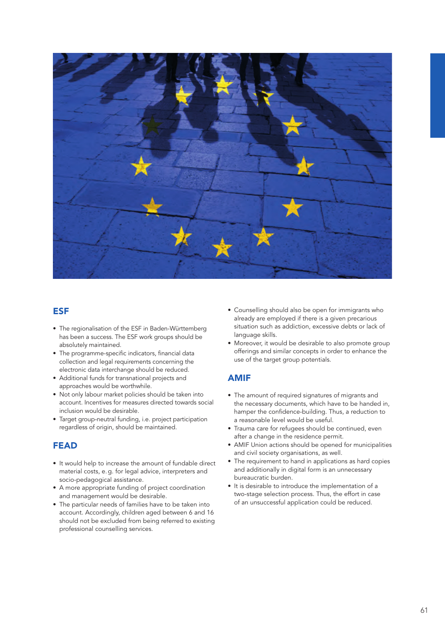

## ESF

- The regionalisation of the ESF in Baden-Württemberg has been a success. The ESF work groups should be absolutely maintained.
- The programme-specific indicators, financial data collection and legal requirements concerning the electronic data interchange should be reduced.
- Additional funds for transnational projects and approaches would be worthwhile.
- Not only labour market policies should be taken into account. Incentives for measures directed towards social inclusion would be desirable.
- Target group-neutral funding, i.e. project participation regardless of origin, should be maintained.

## FEAD

- It would help to increase the amount of fundable direct material costs, e. g. for legal advice, interpreters and socio-pedagogical assistance.
- A more appropriate funding of project coordination and management would be desirable.
- The particular needs of families have to be taken into account. Accordingly, children aged between 6 and 16 should not be excluded from being referred to existing professional counselling services.
- Counselling should also be open for immigrants who already are employed if there is a given precarious situation such as addiction, excessive debts or lack of language skills.
- Moreover, it would be desirable to also promote group offerings and similar concepts in order to enhance the use of the target group potentials.

## AMIF

- The amount of required signatures of migrants and the necessary documents, which have to be handed in, hamper the confidence-building. Thus, a reduction to a reasonable level would be useful.
- Trauma care for refugees should be continued, even after a change in the residence permit.
- AMIF Union actions should be opened for municipalities and civil society organisations, as well.
- The requirement to hand in applications as hard copies and additionally in digital form is an unnecessary bureaucratic burden.
- It is desirable to introduce the implementation of a two-stage selection process. Thus, the effort in case of an unsuccessful application could be reduced.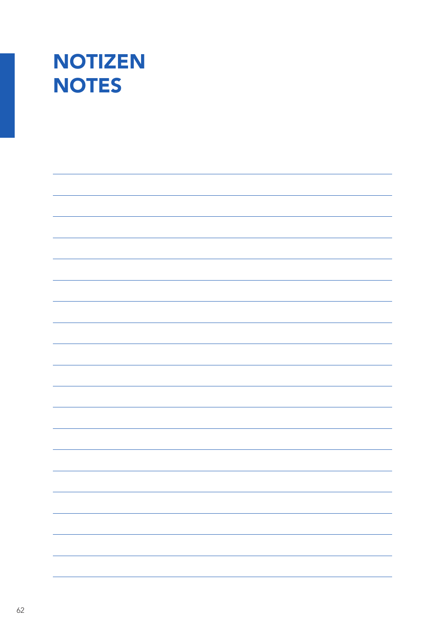